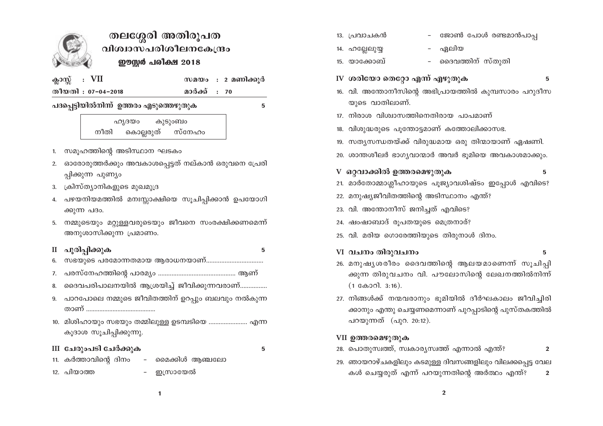

# തലശ്ശേരി അതിരൂപത വിശ്വാസപരിശീലനകേന്ദ്രം ഈസ്റ്റർ പരീക്ഷ 2018

| ക്ലാസ്സ് |  | VII |
|----------|--|-----|
|----------|--|-----|

സമയം : 2 മണിക്കൂർ

തീയതി : 07-04-2018

മാർക്ക് : 70

### പദപ്പെട്ടിയിൽനിന്ന് ഉത്തരം എടുത്തെഴുതുക

5

#### ഹൃദയം കുടുംബം കൊല്ലരുത് സ്നേഹം നീതി

- 1. സമൂഹത്തിന്റെ അടിസ്ഥാന ഘടകം
- 2. ഓരോരുത്തർക്കും അവകാശപ്പെട്ടത് നല്കാൻ ഒരുവനെ പ്രേരി പ്പിക്കുന്ന പുണ്യം
- 3. ക്രിസ്ത്യാനികളുടെ മുഖമുദ്ര
- 4. പഴയനിയമത്തിൽ മനഃസ്സാക്ഷിയെ സൂചിപ്പിക്കാൻ ഉപയോഗി ക്കുന്ന പദം.
- 5. നമ്മുടെയും മറ്റുള്ളവരുടെയും ജീവനെ സംരക്ഷിക്കണമെന്ന് അനുശാസിക്കുന്ന പ്രമാണം.

## II പൂരിപ്പിക്കുക

5

- സഭയുടെ പരമോന്നതമായ ആരാധനയാണ്................................... 6.
- 
- ദൈവപരിപാലനയിൽ ആശ്രയിച്ച് ജീവിക്കുന്നവരാണ്................ 8.
- 9. പാറപോലെ നമ്മുടെ ജീവിതത്തിന് ഉറപ്പും ബലവും നൽകുന്ന
- 10. മിശിഹായും സഭയും തമ്മിലുള്ള ഉടമ്പടിയെ ........................ എന്ന കൂദാശ സൂചിപ്പിക്കുന്നു.

## III ചേരുംപടി ചേർക്കുക

- 5
- 11. കർത്താവിന്റെ ദിനം മൈക്കിൾ ആഞ്ചലോ
- 12. പിയാത്ത

ഇസ്രായേൽ

- 13. പ്രവാചകൻ
	- ജോൺ പോൾ രണ്ടമാൻപാപ്പ ഏലിയ

 $\equiv$ 

- 14. ഹല്ലേലുയ്യ 15. യാക്കോബ്
- ദൈവത്തിന് സ്തുതി
- IV ശരിയോ തെറ്റോ എന്ന് എഴുതുക

5

- 16. വി. അന്തോനീസിന്റെ അഭിപ്രായത്തിൽ കുമ്പസാരം പറുദീസ യുടെ വാതിലാണ്.
- 17. നിരാശ വിശ്വാസത്തിനെതിരായ പാപമാണ്
- 18. വിശുദ്ധരുടെ പുന്തോട്ടമാണ് കത്തോലിക്കാസഭ.
- 19. സത്യസന്ധതയ്ക്ക് വിരുദ്ധമായ ഒരു തിന്മായാണ് ഏഷണി.
- 20. ശാന്തശീലർ ഭാഗ്യവാന്മാർ അവർ ഭുമിയെ അവകാശമാക്കും.
- V ഒറ്റവാക്കിൽ ഉത്തരമെഴുതുക
- 5
- 21. മാർതോമ്മാശ്ലീഹായുടെ പൂജ്യാവശിഷ്ടം ഇപ്പോൾ എവിടെ?
- 22. മനുഷ്യജീവിതത്തിന്റെ അടിസ്ഥാനം എന്ത്?
- 23. വി. അന്തോനീസ് ജനിച്ചത് എവിടെ?
- 24. ഷംഷാബാദ് രൂപതയുടെ മെത്രനാര്?
- 25. വി. മരിയ ഗൊരേത്തിയുടെ തിരുനാൾ ദിനം.
- VI വചനം തിരുവചനം 5
- 26. മനുഷ്യശരീരം ദൈവത്തിന്റെ ആലയമാണെന്ന് സൂചിപ്പി ക്കുന്ന തിരുവചനം വി. പൗലോസിന്റെ ലേഖനത്തിൽനിന്ന്  $(1$  കോറി. 3:16).
- 27. നിങ്ങൾക്ക് നന്മവരാനും ഭൂമിയിൽ ദീർഘകാലം ജീവിച്ചിരി ക്കാനും എന്തു ചെയ്യണമെന്നാണ് പുറപ്പാടിന്റെ പുസ്തകത്തിൽ പറയുന്നത് (പുറ. 20:12).

## VII ഉത്തരമെഴുതുക

- 28. പൊതുസ്വത്ത്, സ്വകാര്യസ്വത്ത് എന്നാൽ എന്ത്?  $\overline{2}$
- 29. ഞായറാഴ്ചകളിലും കടമുള്ള ദിവസങ്ങളിലും വിലക്കപ്പെട്ട വേല കൾ ചെയ്യരുത് എന്ന് പറയുന്നതിന്റെ അർത്ഥം എന്ത്?  $\overline{2}$